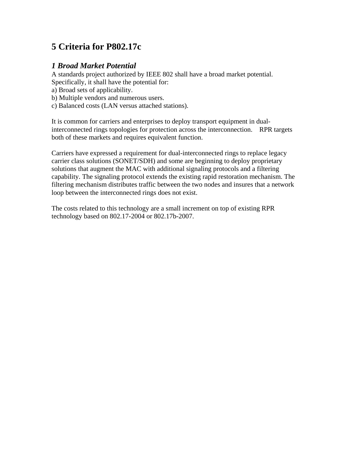# **5 Criteria for P802.17c**

#### *1 Broad Market Potential*

A standards project authorized by IEEE 802 shall have a broad market potential. Specifically, it shall have the potential for:

a) Broad sets of applicability.

b) Multiple vendors and numerous users.

c) Balanced costs (LAN versus attached stations).

It is common for carriers and enterprises to deploy transport equipment in dualinterconnected rings topologies for protection across the interconnection. RPR targets both of these markets and requires equivalent function.

Carriers have expressed a requirement for dual-interconnected rings to replace legacy carrier class solutions (SONET/SDH) and some are beginning to deploy proprietary solutions that augment the MAC with additional signaling protocols and a filtering capability. The signaling protocol extends the existing rapid restoration mechanism. The filtering mechanism distributes traffic between the two nodes and insures that a network loop between the interconnected rings does not exist.

The costs related to this technology are a small increment on top of existing RPR technology based on 802.17-2004 or 802.17b-2007.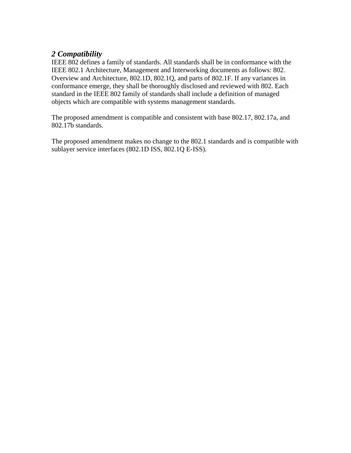#### *2 Compatibility*

IEEE 802 defines a family of standards. All standards shall be in conformance with the IEEE 802.1 Architecture, Management and Interworking documents as follows: 802. Overview and Architecture, 802.1D, 802.1Q, and parts of 802.1F. If any variances in conformance emerge, they shall be thoroughly disclosed and reviewed with 802. Each standard in the IEEE 802 family of standards shall include a definition of managed objects which are compatible with systems management standards.

The proposed amendment is compatible and consistent with base 802.17, 802.17a, and 802.17b standards.

The proposed amendment makes no change to the 802.1 standards and is compatible with sublayer service interfaces (802.1D ISS, 802.1Q E-ISS).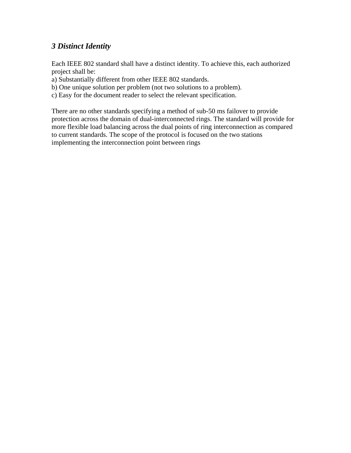### *3 Distinct Identity*

Each IEEE 802 standard shall have a distinct identity. To achieve this, each authorized project shall be:

- a) Substantially different from other IEEE 802 standards.
- b) One unique solution per problem (not two solutions to a problem).
- c) Easy for the document reader to select the relevant specification.

There are no other standards specifying a method of sub-50 ms failover to provide protection across the domain of dual-interconnected rings. The standard will provide for more flexible load balancing across the dual points of ring interconnection as compared to current standards. The scope of the protocol is focused on the two stations implementing the interconnection point between rings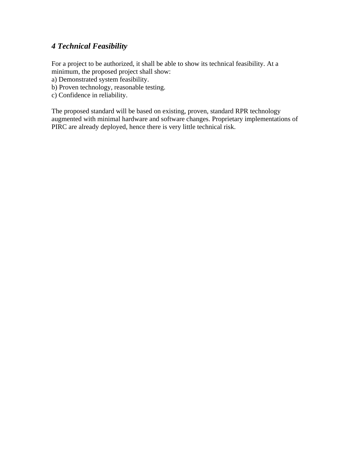## *4 Technical Feasibility*

For a project to be authorized, it shall be able to show its technical feasibility. At a minimum, the proposed project shall show:

- a) Demonstrated system feasibility.
- b) Proven technology, reasonable testing.
- c) Confidence in reliability.

The proposed standard will be based on existing, proven, standard RPR technology augmented with minimal hardware and software changes. Proprietary implementations of PIRC are already deployed, hence there is very little technical risk.